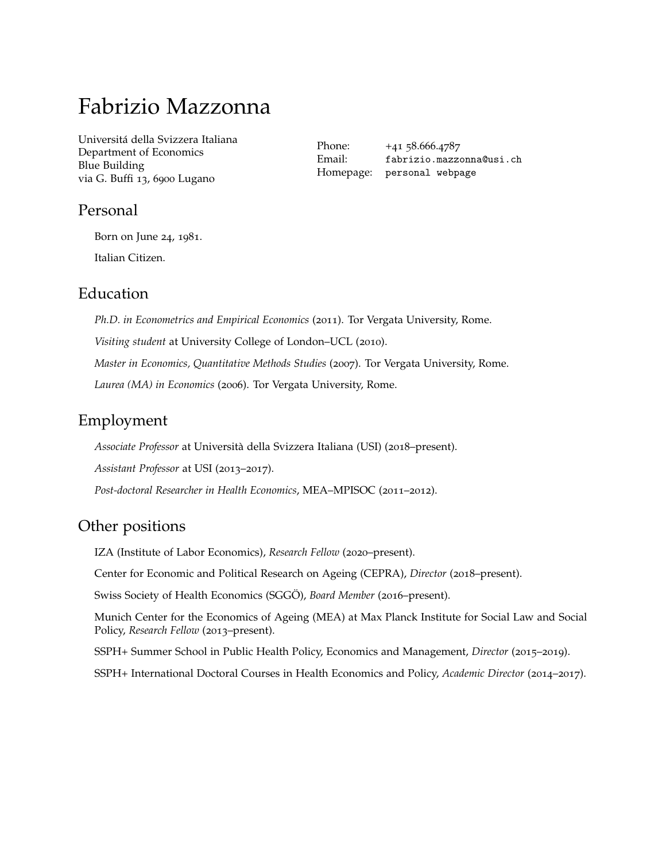# Fabrizio Mazzonna

[Universitá della Svizzera Italiana](http://www.unc.edu/) Department of Economics Blue Building via G. Buffi 13, 6900 Lugano

Phone: +41 58.666.4787 Email: [fabrizio.mazzonna@usi.ch](mailto:fabrizio.mazzonna@usi.ch) Homepage: [personal webpage](https://sites.google.com/site/fabriziomazzonna)

# Personal

Born on June 24, 1981.

Italian Citizen.

# Education

*Ph.D. in Econometrics and Empirical Economics* (2011). Tor Vergata University, Rome. *Visiting student* at University College of London–UCL (2010). *Master in Economics, Quantitative Methods Studies* (2007). Tor Vergata University, Rome. *Laurea (MA) in Economics* (2006). Tor Vergata University, Rome.

# Employment

*Associate Professor* at Università della Svizzera Italiana (USI) (2018–present).

*Assistant Professor* at USI (2013–2017).

*Post-doctoral Researcher in Health Economics*, MEA–MPISOC (2011–2012).

# Other positions

IZA (Institute of Labor Economics), *Research Fellow* (2020–present).

Center for Economic and Political Research on Ageing (CEPRA), *Director* (2018–present).

Swiss Society of Health Economics (SGGÖ), *Board Member* (2016–present).

Munich Center for the Economics of Ageing (MEA) at Max Planck Institute for Social Law and Social Policy, *Research Fellow* (2013–present).

SSPH+ Summer School in Public Health Policy, Economics and Management, *Director* (2015–2019).

SSPH+ International Doctoral Courses in Health Economics and Policy, *Academic Director* (2014–2017).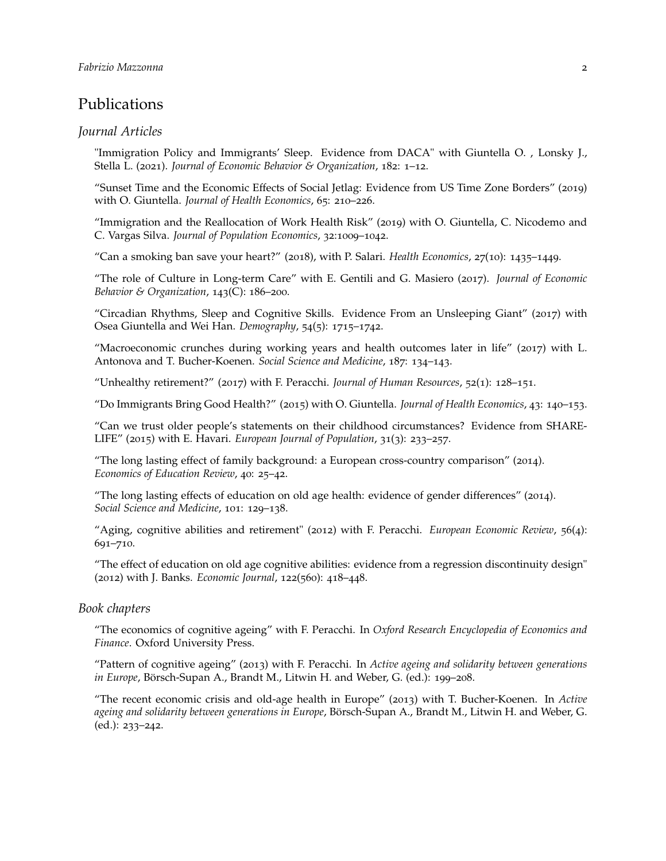# Publications

#### *Journal Articles*

"Immigration Policy and Immigrants' Sleep. Evidence from DACA" with Giuntella O. , Lonsky J., Stella L. (2021). *Journal of Economic Behavior & Organization*, 182: 1–12.

"Sunset Time and the Economic Effects of Social Jetlag: Evidence from US Time Zone Borders" (2019) with O. Giuntella. *Journal of Health Economics*, 65: 210–226.

"Immigration and the Reallocation of Work Health Risk" (2019) with O. Giuntella, C. Nicodemo and C. Vargas Silva. *Journal of Population Economics*, 32:1009–1042.

"Can a smoking ban save your heart?" (2018), with P. Salari. *Health Economics*, 27(10): 1435–1449.

"The role of Culture in Long-term Care" with E. Gentili and G. Masiero (2017). *Journal of Economic Behavior & Organization*, 143(C): 186–200.

"Circadian Rhythms, Sleep and Cognitive Skills. Evidence From an Unsleeping Giant" (2017) with Osea Giuntella and Wei Han. *Demography*, 54(5): 1715–1742.

"Macroeconomic crunches during working years and health outcomes later in life" (2017) with L. Antonova and T. Bucher-Koenen. *Social Science and Medicine*, 187: 134–143.

"Unhealthy retirement?" (2017) with F. Peracchi. *Journal of Human Resources*, 52(1): 128–151.

"Do Immigrants Bring Good Health?" (2015) with O. Giuntella. *Journal of Health Economics*, 43: 140–153.

"Can we trust older people's statements on their childhood circumstances? Evidence from SHARE-LIFE" (2015) with E. Havari. *European Journal of Population*, 31(3): 233–257.

"The long lasting effect of family background: a European cross-country comparison" (2014). *Economics of Education Review*, 40: 25–42.

"The long lasting effects of education on old age health: evidence of gender differences" (2014). *Social Science and Medicine*, 101: 129–138.

"Aging, cognitive abilities and retirement" (2012) with F. Peracchi. *European Economic Review*, 56(4): 691–710.

"The effect of education on old age cognitive abilities: evidence from a regression discontinuity design" (2012) with J. Banks. *Economic Journal*, 122(560): 418–448.

#### *Book chapters*

"The economics of cognitive ageing" with F. Peracchi. In *Oxford Research Encyclopedia of Economics and Finance*. Oxford University Press.

"Pattern of cognitive ageing" (2013) with F. Peracchi. In *Active ageing and solidarity between generations in Europe*, Börsch-Supan A., Brandt M., Litwin H. and Weber, G. (ed.): 199–208.

"The recent economic crisis and old-age health in Europe" (2013) with T. Bucher-Koenen. In *Active ageing and solidarity between generations in Europe*, Börsch-Supan A., Brandt M., Litwin H. and Weber, G. (ed.): 233–242.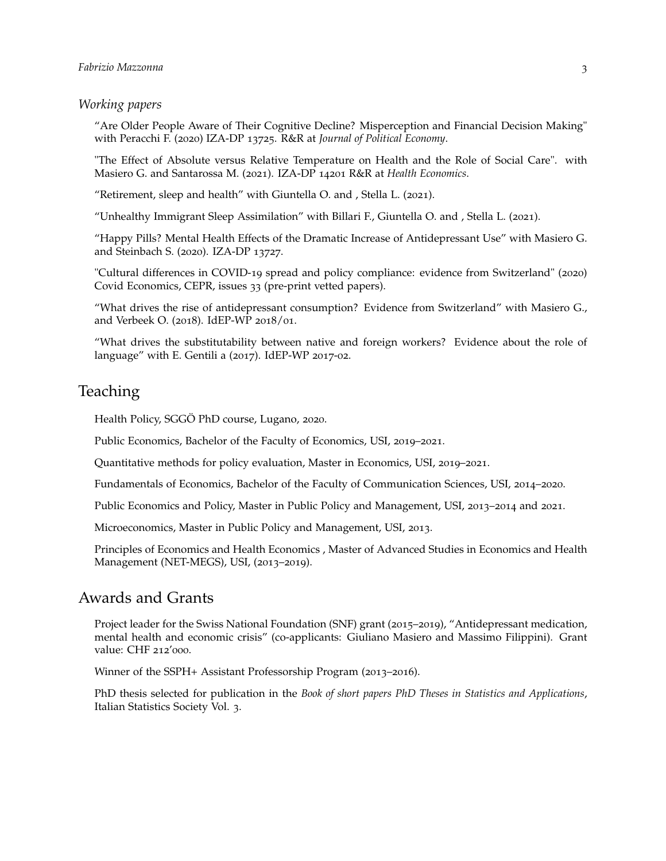#### *Working papers*

"Are Older People Aware of Their Cognitive Decline? Misperception and Financial Decision Making" with Peracchi F. (2020) IZA-DP 13725. R&R at *Journal of Political Economy*.

"The Effect of Absolute versus Relative Temperature on Health and the Role of Social Care". with Masiero G. and Santarossa M. (2021). IZA-DP 14201 R&R at *Health Economics*.

"Retirement, sleep and health" with Giuntella O. and , Stella L. (2021).

"Unhealthy Immigrant Sleep Assimilation" with Billari F., Giuntella O. and , Stella L. (2021).

"Happy Pills? Mental Health Effects of the Dramatic Increase of Antidepressant Use" with Masiero G. and Steinbach S. (2020). IZA-DP 13727.

"Cultural differences in COVID-19 spread and policy compliance: evidence from Switzerland" (2020) Covid Economics, CEPR, issues 33 (pre-print vetted papers).

"What drives the rise of antidepressant consumption? Evidence from Switzerland" with Masiero G., and Verbeek O. (2018). IdEP-WP 2018/01.

"What drives the substitutability between native and foreign workers? Evidence about the role of language" with E. Gentili a (2017). IdEP-WP 2017-02.

# **Teaching**

Health Policy, SGGÖ PhD course, Lugano, 2020.

Public Economics, Bachelor of the Faculty of Economics, USI, 2019–2021.

Quantitative methods for policy evaluation, Master in Economics, USI, 2019–2021.

Fundamentals of Economics, Bachelor of the Faculty of Communication Sciences, USI, 2014–2020.

Public Economics and Policy, Master in Public Policy and Management, USI, 2013–2014 and 2021.

Microeconomics, Master in Public Policy and Management, USI, 2013.

Principles of Economics and Health Economics , Master of Advanced Studies in Economics and Health Management (NET-MEGS), USI, (2013–2019).

### Awards and Grants

Project leader for the Swiss National Foundation (SNF) grant (2015–2019), "Antidepressant medication, mental health and economic crisis" (co-applicants: Giuliano Masiero and Massimo Filippini). Grant value: CHF 212'000.

Winner of the SSPH+ Assistant Professorship Program (2013–2016).

PhD thesis selected for publication in the *Book of short papers PhD Theses in Statistics and Applications*, Italian Statistics Society Vol. 3.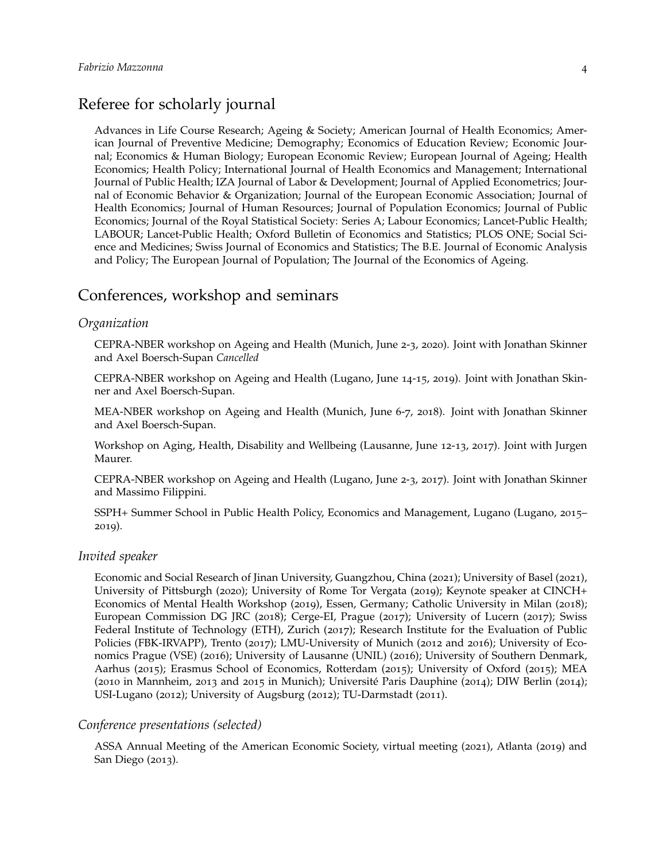# Referee for scholarly journal

Advances in Life Course Research; Ageing & Society; American Journal of Health Economics; American Journal of Preventive Medicine; Demography; Economics of Education Review; Economic Journal; Economics & Human Biology; European Economic Review; European Journal of Ageing; Health Economics; Health Policy; International Journal of Health Economics and Management; International Journal of Public Health; IZA Journal of Labor & Development; Journal of Applied Econometrics; Journal of Economic Behavior & Organization; Journal of the European Economic Association; Journal of Health Economics; Journal of Human Resources; Journal of Population Economics; Journal of Public Economics; Journal of the Royal Statistical Society: Series A; Labour Economics; Lancet-Public Health; LABOUR; Lancet-Public Health; Oxford Bulletin of Economics and Statistics; PLOS ONE; Social Science and Medicines; Swiss Journal of Economics and Statistics; The B.E. Journal of Economic Analysis and Policy; The European Journal of Population; The Journal of the Economics of Ageing.

## Conferences, workshop and seminars

#### *Organization*

CEPRA-NBER workshop on Ageing and Health (Munich, June 2-3, 2020). Joint with Jonathan Skinner and Axel Boersch-Supan *Cancelled*

CEPRA-NBER workshop on Ageing and Health (Lugano, June 14-15, 2019). Joint with Jonathan Skinner and Axel Boersch-Supan.

MEA-NBER workshop on Ageing and Health (Munich, June 6-7, 2018). Joint with Jonathan Skinner and Axel Boersch-Supan.

Workshop on Aging, Health, Disability and Wellbeing (Lausanne, June 12-13, 2017). Joint with Jurgen Maurer.

CEPRA-NBER workshop on Ageing and Health (Lugano, June 2-3, 2017). Joint with Jonathan Skinner and Massimo Filippini.

SSPH+ Summer School in Public Health Policy, Economics and Management, Lugano (Lugano, 2015– 2019).

#### *Invited speaker*

Economic and Social Research of Jinan University, Guangzhou, China (2021); University of Basel (2021), University of Pittsburgh (2020); University of Rome Tor Vergata (2019); Keynote speaker at CINCH+ Economics of Mental Health Workshop (2019), Essen, Germany; Catholic University in Milan (2018); European Commission DG JRC (2018); Cerge-EI, Prague (2017); University of Lucern (2017); Swiss Federal Institute of Technology (ETH), Zurich (2017); Research Institute for the Evaluation of Public Policies (FBK-IRVAPP), Trento (2017); LMU-University of Munich (2012 and 2016); University of Economics Prague (VSE) (2016); University of Lausanne (UNIL) (2016); University of Southern Denmark, Aarhus (2015); Erasmus School of Economics, Rotterdam (2015); University of Oxford (2015); MEA (2010 in Mannheim, 2013 and 2015 in Munich); Université Paris Dauphine (2014); DIW Berlin (2014); USI-Lugano (2012); University of Augsburg (2012); TU-Darmstadt (2011).

#### *Conference presentations (selected)*

ASSA Annual Meeting of the American Economic Society, virtual meeting (2021), Atlanta (2019) and San Diego (2013).